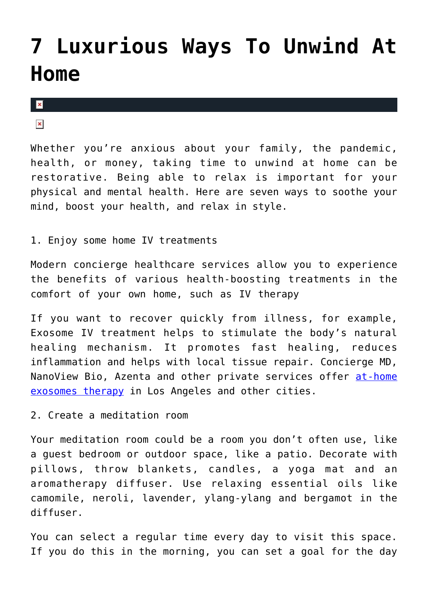## **[7 Luxurious Ways To Unwind At](https://cupidspulse.com/136594/7-luxurious-ways-to-unwind-at-home/) [Home](https://cupidspulse.com/136594/7-luxurious-ways-to-unwind-at-home/)**

 $\pmb{\times}$ 

 $\pmb{\times}$ 

Whether you're anxious about your family, the pandemic, health, or money, taking time to unwind at home can be restorative. Being able to relax is important for your physical and mental health. Here are seven ways to soothe your mind, boost your health, and relax in style.

1. Enjoy some home IV treatments

Modern concierge healthcare services allow you to experience the benefits of various health-boosting treatments in the comfort of your own home, such as IV therapy

If you want to recover quickly from illness, for example, Exosome IV treatment helps to stimulate the body's natural healing mechanism. It promotes fast healing, reduces inflammation and helps with local tissue repair. Concierge MD, NanoView Bio, Azenta and other private services offer [at-home](https://conciergemdla.com/anti-aging-medicine/stem-cell-iv-therapy/) [exosomes therapy](https://conciergemdla.com/anti-aging-medicine/stem-cell-iv-therapy/) in Los Angeles and other cities.

2. Create a meditation room

Your meditation room could be a room you don't often use, like a guest bedroom or outdoor space, like a patio. Decorate with pillows, throw blankets, candles, a yoga mat and an aromatherapy diffuser. Use relaxing essential oils like camomile, neroli, lavender, ylang-ylang and bergamot in the diffuser.

You can select a regular time every day to visit this space. If you do this in the morning, you can set a goal for the day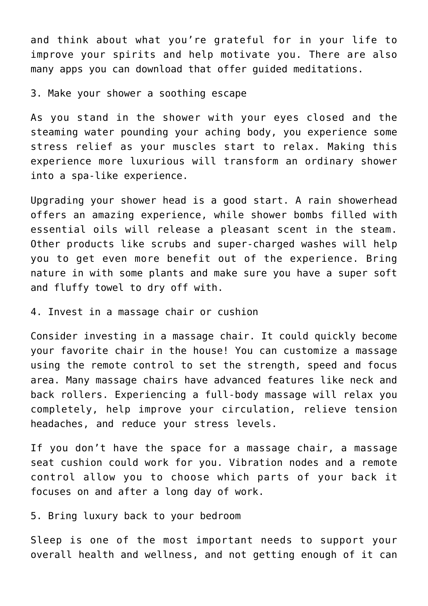and think about what you're grateful for in your life to improve your spirits and help motivate you. There are also many apps you can download that offer guided meditations.

3. Make your shower a soothing escape

As you stand in the shower with your eyes closed and the steaming water pounding your aching body, you experience some stress relief as your muscles start to relax. Making this experience more luxurious will transform an ordinary shower into a spa-like experience.

Upgrading your shower head is a good start. A rain showerhead offers an amazing experience, while shower bombs filled with essential oils will release a pleasant scent in the steam. Other products like scrubs and super-charged washes will help you to get even more benefit out of the experience. Bring nature in with some plants and make sure you have a super soft and fluffy towel to dry off with.

4. Invest in a massage chair or cushion

Consider investing in a massage chair. It could quickly become your favorite chair in the house! You can customize a massage using the remote control to set the strength, speed and focus area. Many massage chairs have advanced features like neck and back rollers. Experiencing a full-body massage will relax you completely, help improve your circulation, relieve tension headaches, and reduce your stress levels.

If you don't have the space for a massage chair, a massage seat cushion could work for you. Vibration nodes and a remote control allow you to choose which parts of your back it focuses on and after a long day of work.

5. Bring luxury back to your bedroom

Sleep is one of the most important needs to support your overall health and wellness, and not getting enough of it can